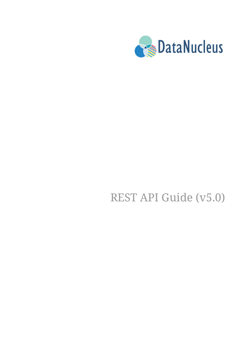

# REST API Guide (v5.0)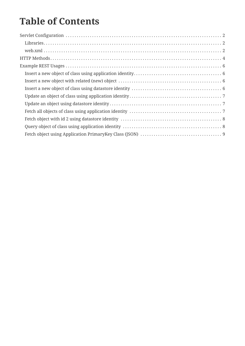### **Table of Contents**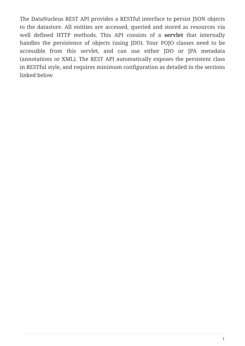The DataNucleus REST API provides a RESTful interface to persist JSON objects to the datastore. All entities are accessed, queried and stored as resources via well defined HTTP methods. This API consists of a **servlet** that internally handles the persistence of objects (using JDO). Your POJO classes need to be accessible from this servlet, and can use either JDO or JPA metadata (annotations or XML). The REST API automatically exposes the persistent class in RESTful style, and requires minimum configuration as detailed in the sections linked below.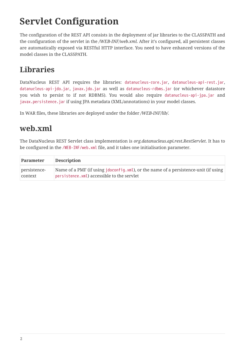## <span id="page-3-0"></span>**Servlet Configuration**

The configuration of the REST API consists in the deployment of jar libraries to the CLASSPATH and the configuration of the servlet in the */WEB-INF/web.xml*. After it's configured, all persistent classes are automatically exposed via RESTful HTTP interface. You need to have enhanced versions of the model classes in the CLASSPATH.

#### <span id="page-3-1"></span>**Libraries**

DataNucleus REST API requires the libraries: datanucleus-core.jar, datanucleus-api-rest.jar, datanucleus-api-jdo.jar, javax.jdo.jar as well as datanucleus-rdbms.jar (or whichever datastore you wish to persist to if not RDBMS). You would also require datanucleus-api-jpa.jar and javax.persistence.jar if using JPA metadata (XML/annotations) in your model classes.

In WAR files, these libraries are deployed under the folder */WEB-INF/lib/*.

#### <span id="page-3-2"></span>**web.xml**

The DataNucleus REST Servlet class implementation is *org.datanucleus.api.rest.RestServlet*. It has to be configured in the /WEB-INF/web.xml file, and it takes one initialisation parameter.

| Parameter    | <b>Description</b>                                                                   |
|--------------|--------------------------------------------------------------------------------------|
| persistence- | Name of a PMF (if using jdoconfig. xml), or the name of a persistence-unit (if using |
| context      | persistence.xml) accessible to the servlet                                           |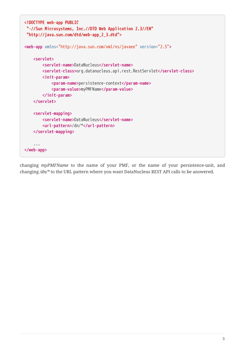```
<!DOCTYPE web-app PUBLIC
 "-//Sun Microsystems, Inc.//DTD Web Application 2.3//EN"
 "http://java.sun.com/dtd/web-app_2_3.dtd">
<web-app xmlns="http://java.sun.com/xml/ns/javaee" version="2.5">
      <servlet>
          <servlet-name>DataNucleus</servlet-name>
          <servlet-class>org.datanucleus.api.rest.RestServlet</servlet-class>
          <init-param>
              <param-name>persistence-context</param-name>
              <param-value>myPMFName</param-value>
          </init-param>
      </servlet>
      <servlet-mapping>
          <servlet-name>DataNucleus</servlet-name>
          <url-pattern>/dn/*</url-pattern>
      </servlet-mapping>
      ...
</web-app>
```
changing *myPMFName* to the name of your PMF, or the name of your persistence-unit, and changing */dn/\** to the URL pattern where you want DataNucleus REST API calls to be answered.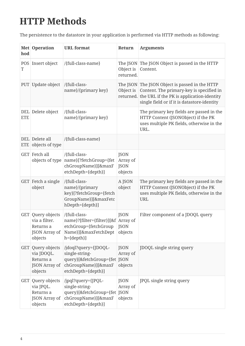## <span id="page-5-0"></span>**HTTP Methods**

The persistence to the datastore in your application is performed via HTTP methods as following:

| hod        | Met Operation                                                                      | <b>URL</b> format                                                                                                            | Return                                            | <b>Arguments</b>                                                                                                                                                                                 |
|------------|------------------------------------------------------------------------------------|------------------------------------------------------------------------------------------------------------------------------|---------------------------------------------------|--------------------------------------------------------------------------------------------------------------------------------------------------------------------------------------------------|
| POS<br>T   | Insert object                                                                      | /{full-class-name}                                                                                                           | Object is<br>returned.                            | The JSON The JSON Object is passed in the HTTP<br>Content.                                                                                                                                       |
|            | PUT Update object                                                                  | /{full-class-<br>name}/{primary key}                                                                                         | Object is                                         | The JSON The JSON Object is passed in the HTTP<br>Content. The primary-key is specified in<br>returned. the URL if the PK is application-identity<br>single field or if it is datastore-identity |
| <b>ETE</b> | DEL Delete object                                                                  | /{full-class-<br>name}/{primary key}                                                                                         |                                                   | The primary key fields are passed in the<br>HTTP Content (JSONObject) if the PK<br>uses multiple PK fields, otherwise in the<br>URL.                                                             |
|            | DEL Delete all<br>ETE objects of type                                              | /{full-class-name}                                                                                                           |                                                   |                                                                                                                                                                                                  |
|            | GET Fetch all                                                                      | /{full-class-<br>objects of type   name}[?fetchGroup={fet<br>chGroupName}][&maxF<br>etchDepth={depth}]                       | <b>JSON</b><br>Array of<br><b>JSON</b><br>objects |                                                                                                                                                                                                  |
|            | GET Fetch a single<br>object                                                       | /{full-class-<br>name}/{primary<br>key}[?fetchGroup={fetch<br>GroupName}][&maxFetc<br>hDepth={depth}]                        | A JSON<br>object                                  | The primary key fields are passed in the<br>HTTP Content (JSONObject) if the PK<br>uses multiple PK fields, otherwise in the<br><b>URL</b>                                                       |
|            | GET Query objects<br>via a filter.<br>Returns a<br><b>JSON Array of</b><br>objects | /{full-class-<br>name}?[filter={filter}][&f   Array of<br>etchGroup={fetchGroup   JSON<br>Name}][&maxFetchDept<br>h={depth}] | <b>JSON</b><br>objects                            | Filter component of a JDOQL query                                                                                                                                                                |
| <b>GET</b> | Query objects<br>via JDOQL.<br>Returns a<br>JSON Array of<br>objects               | /jdoql?query={JDOQL-<br>single-string-<br>query}[&fetchGroup={fet  JSON<br>chGroupName}][&maxF<br>etchDepth={depth}]         | <b>JSON</b><br>Array of<br>objects                | JDOQL single string query                                                                                                                                                                        |
| <b>GET</b> | Query objects<br>via JPQL.<br>Returns a<br>JSON Array of<br>objects                | /jpql?query={JPQL-<br>single-string-<br>query}[&fetchGroup={fet  JSON<br>chGroupName}][&maxF<br>etchDepth={depth}]           | <b>JSON</b><br>Array of<br>objects                | JPQL single string query                                                                                                                                                                         |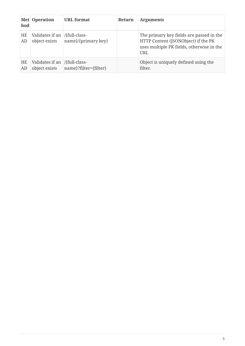| hod             | Met Operation                                     | <b>URL</b> format     | Return | <b>Arguments</b>                                                                                                                           |
|-----------------|---------------------------------------------------|-----------------------|--------|--------------------------------------------------------------------------------------------------------------------------------------------|
| HE<br>AD        | Validates if an $ $ {full-class-<br>object exists | name}/{primary key}   |        | The primary key fields are passed in the<br>HTTP Content (JSONObject) if the PK<br>uses multiple PK fields, otherwise in the<br><b>URL</b> |
| <b>HE</b><br>AD | Validates if an $ $ {full-class-<br>object exists | name}?filter={filter} |        | Object is uniquely defined using the<br>filter.                                                                                            |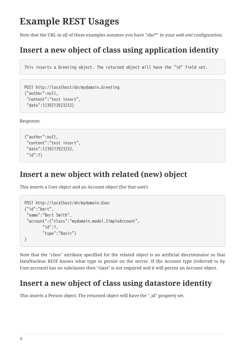### <span id="page-7-0"></span>**Example REST Usages**

Note that the URL in all of these examples assumes you have "/dn/\*" in your *web.xml* configuration.

### <span id="page-7-1"></span>**Insert a new object of class using application identity**

This inserts a Greeting object. The returned object will have the "id" field set.

```
POST http://localhost/dn/mydomain.Greeting
{"author":null,
  "content":"test insert",
  "date":1239213923232}
```
Response:

```
{"author":null,
  "content":"test insert",
  "date":1239213923232,
  "id":1}
```
#### <span id="page-7-2"></span>**Insert a new object with related (new) object**

This inserts a User object and an Account object (for that user).

```
POST http://localhost/dn/mydomain.User
{"id":"bert",
  "name":"Bert Smith",
  "account":{"class":"mydomain.model.SimpleAccount",
          "id":1,
          "type":"Basic"}
}
```
Note that the "class" attribute specified for the related object is an artificial discriminator so that DataNucleus REST knows what type to persist on the server. If the Account type (referred to by User.account) has no subclasses then "class" is not required and it will persist an Account object.

#### <span id="page-7-3"></span>**Insert a new object of class using datastore identity**

This inserts a Person object. The returned object will have the "\_id" property set.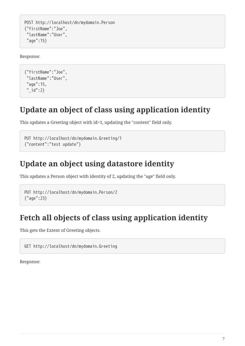```
POST http://localhost/dn/mydomain.Person
{"firstName":"Joe",
  "lastName":"User",
  "age":15}
```
Response:

```
{"firstName":"Joe",
 "lastName":"User",
  "age":15,
  "_id":2}
```
#### <span id="page-8-0"></span>**Update an object of class using application identity**

This updates a Greeting object with id=1, updating the "content" field only.

```
PUT http://localhost/dn/mydomain.Greeting/1
{"content":"test update"}
```
#### <span id="page-8-1"></span>**Update an object using datastore identity**

This updates a Person object with identity of 2, updating the "age" field only.

```
PUT http://localhost/dn/mydomain.Person/2
{"age":23}
```
#### <span id="page-8-2"></span>**Fetch all objects of class using application identity**

This gets the Extent of Greeting objects.

GET http://localhost/dn/mydomain.Greeting

Response: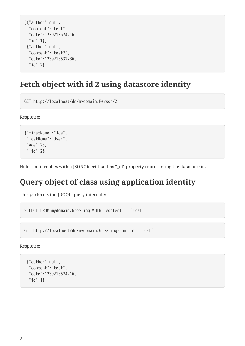```
[{"author":null,
    "content":"test",
    "date":1239213624216,
    "id":1},
  {"author":null,
    "content":"test2",
    "date":1239213632286,
    "id":2}]
```
#### <span id="page-9-0"></span>**Fetch object with id 2 using datastore identity**

GET http://localhost/dn/mydomain.Person/2

Response:

```
{"firstName":"Joe",
  "lastName":"User",
  "age":23,
  "_id":2}
```
Note that it replies with a JSONObject that has "\_id" property representing the datastore id.

### <span id="page-9-1"></span>**Query object of class using application identity**

This performs the JDOQL query internally

SELECT FROM mydomain.Greeting WHERE content == 'test'

GET http://localhost/dn/mydomain.Greeting?content=='test'

Response:

```
[{"author":null,
    "content":"test",
    "date":1239213624216,
    "id":1}]
```